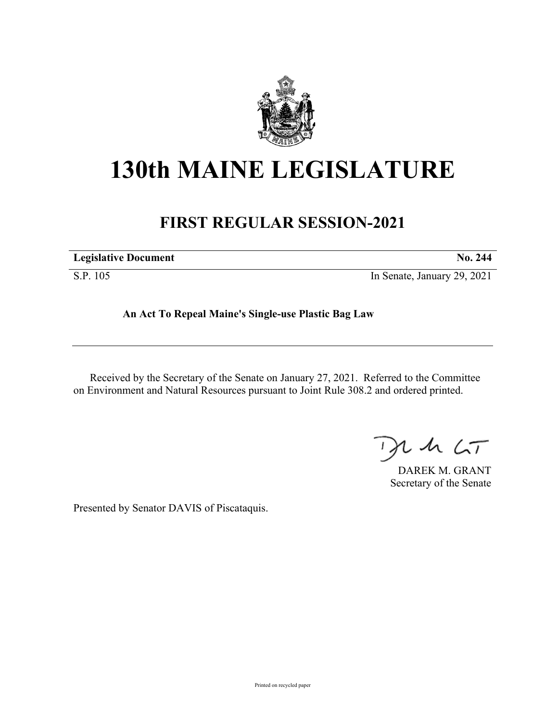

## **130th MAINE LEGISLATURE**

## **FIRST REGULAR SESSION-2021**

S.P. 105 In Senate, January 29, 2021

**An Act To Repeal Maine's Single-use Plastic Bag Law**

Received by the Secretary of the Senate on January 27, 2021. Referred to the Committee on Environment and Natural Resources pursuant to Joint Rule 308.2 and ordered printed.

 $125$ 

DAREK M. GRANT Secretary of the Senate

Presented by Senator DAVIS of Piscataquis.